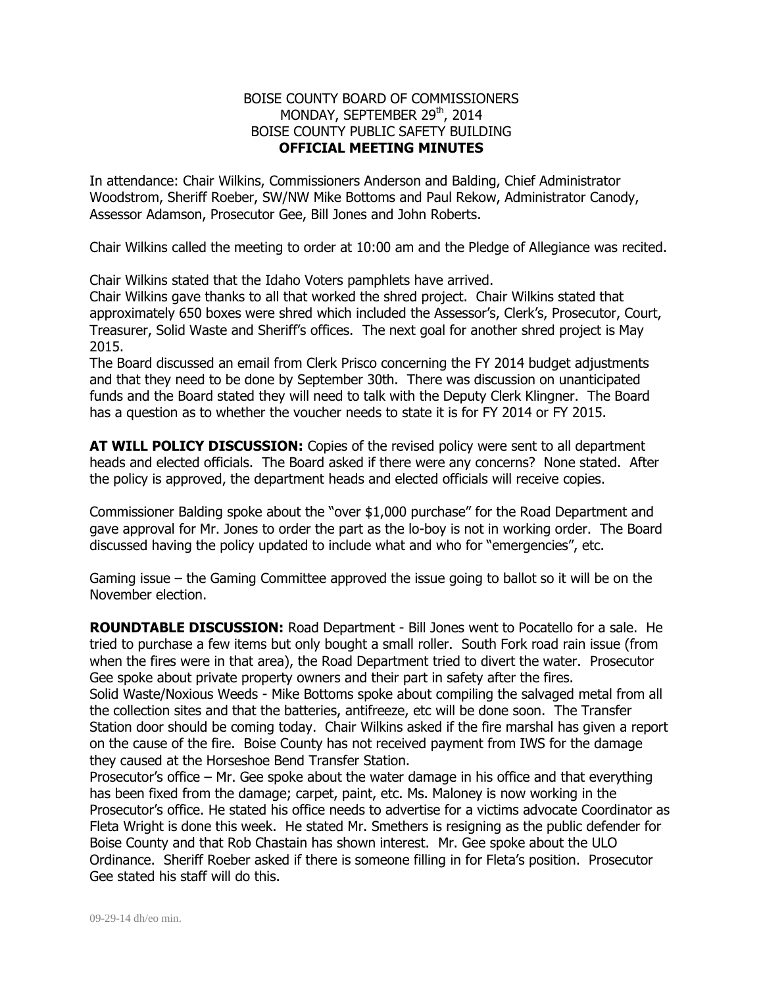## BOISE COUNTY BOARD OF COMMISSIONERS MONDAY, SEPTEMBER 29<sup>th</sup>, 2014 BOISE COUNTY PUBLIC SAFETY BUILDING **OFFICIAL MEETING MINUTES**

In attendance: Chair Wilkins, Commissioners Anderson and Balding, Chief Administrator Woodstrom, Sheriff Roeber, SW/NW Mike Bottoms and Paul Rekow, Administrator Canody, Assessor Adamson, Prosecutor Gee, Bill Jones and John Roberts.

Chair Wilkins called the meeting to order at 10:00 am and the Pledge of Allegiance was recited.

Chair Wilkins stated that the Idaho Voters pamphlets have arrived.

Chair Wilkins gave thanks to all that worked the shred project. Chair Wilkins stated that approximately 650 boxes were shred which included the Assessor's, Clerk's, Prosecutor, Court, Treasurer, Solid Waste and Sheriff's offices. The next goal for another shred project is May 2015.

The Board discussed an email from Clerk Prisco concerning the FY 2014 budget adjustments and that they need to be done by September 30th. There was discussion on unanticipated funds and the Board stated they will need to talk with the Deputy Clerk Klingner. The Board has a question as to whether the voucher needs to state it is for FY 2014 or FY 2015.

**AT WILL POLICY DISCUSSION:** Copies of the revised policy were sent to all department heads and elected officials. The Board asked if there were any concerns? None stated. After the policy is approved, the department heads and elected officials will receive copies.

Commissioner Balding spoke about the "over \$1,000 purchase" for the Road Department and gave approval for Mr. Jones to order the part as the lo-boy is not in working order. The Board discussed having the policy updated to include what and who for "emergencies", etc.

Gaming issue – the Gaming Committee approved the issue going to ballot so it will be on the November election.

**ROUNDTABLE DISCUSSION:** Road Department - Bill Jones went to Pocatello for a sale. He tried to purchase a few items but only bought a small roller. South Fork road rain issue (from when the fires were in that area), the Road Department tried to divert the water. Prosecutor Gee spoke about private property owners and their part in safety after the fires.

Solid Waste/Noxious Weeds - Mike Bottoms spoke about compiling the salvaged metal from all the collection sites and that the batteries, antifreeze, etc will be done soon. The Transfer Station door should be coming today. Chair Wilkins asked if the fire marshal has given a report on the cause of the fire. Boise County has not received payment from IWS for the damage they caused at the Horseshoe Bend Transfer Station.

Prosecutor's office – Mr. Gee spoke about the water damage in his office and that everything has been fixed from the damage; carpet, paint, etc. Ms. Maloney is now working in the Prosecutor's office. He stated his office needs to advertise for a victims advocate Coordinator as Fleta Wright is done this week. He stated Mr. Smethers is resigning as the public defender for Boise County and that Rob Chastain has shown interest. Mr. Gee spoke about the ULO Ordinance. Sheriff Roeber asked if there is someone filling in for Fleta's position. Prosecutor Gee stated his staff will do this.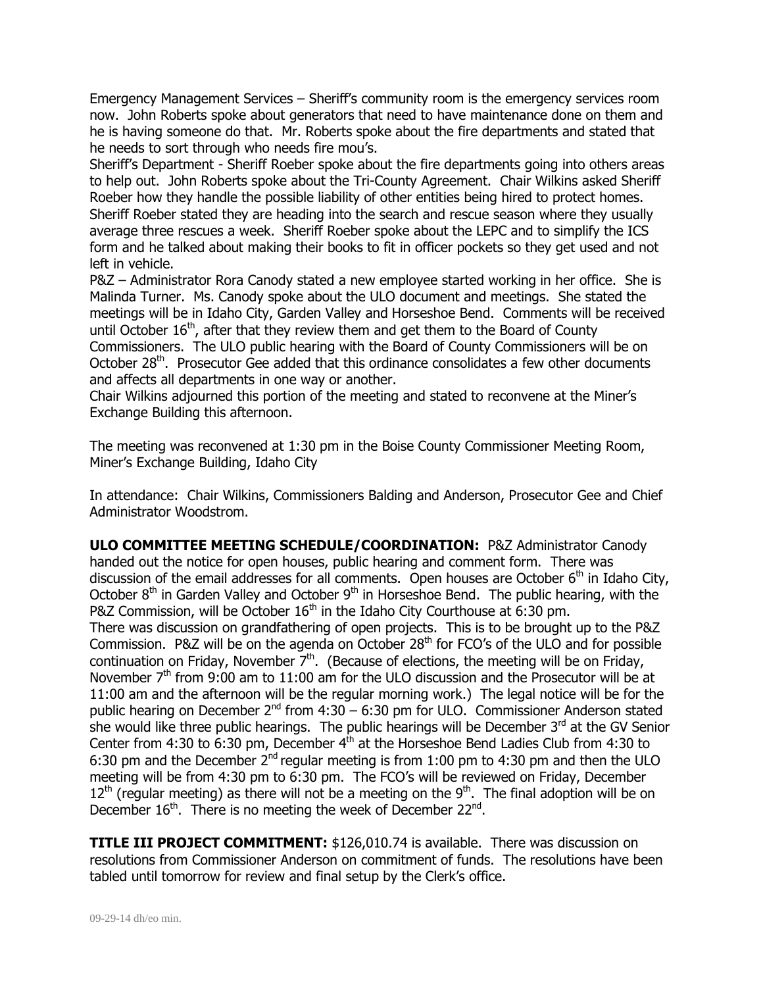Emergency Management Services – Sheriff's community room is the emergency services room now. John Roberts spoke about generators that need to have maintenance done on them and he is having someone do that. Mr. Roberts spoke about the fire departments and stated that he needs to sort through who needs fire mou's.

Sheriff's Department - Sheriff Roeber spoke about the fire departments going into others areas to help out. John Roberts spoke about the Tri-County Agreement. Chair Wilkins asked Sheriff Roeber how they handle the possible liability of other entities being hired to protect homes. Sheriff Roeber stated they are heading into the search and rescue season where they usually average three rescues a week. Sheriff Roeber spoke about the LEPC and to simplify the ICS form and he talked about making their books to fit in officer pockets so they get used and not left in vehicle.

P&Z – Administrator Rora Canody stated a new employee started working in her office. She is Malinda Turner. Ms. Canody spoke about the ULO document and meetings. She stated the meetings will be in Idaho City, Garden Valley and Horseshoe Bend. Comments will be received until October  $16<sup>th</sup>$ , after that they review them and get them to the Board of County Commissioners. The ULO public hearing with the Board of County Commissioners will be on October 28<sup>th</sup>. Prosecutor Gee added that this ordinance consolidates a few other documents

and affects all departments in one way or another.

Chair Wilkins adjourned this portion of the meeting and stated to reconvene at the Miner's Exchange Building this afternoon.

The meeting was reconvened at 1:30 pm in the Boise County Commissioner Meeting Room, Miner's Exchange Building, Idaho City

In attendance: Chair Wilkins, Commissioners Balding and Anderson, Prosecutor Gee and Chief Administrator Woodstrom.

**ULO COMMITTEE MEETING SCHEDULE/COORDINATION:** P&Z Administrator Canody handed out the notice for open houses, public hearing and comment form. There was discussion of the email addresses for all comments. Open houses are October  $6<sup>th</sup>$  in Idaho City, October  $8<sup>th</sup>$  in Garden Valley and October  $9<sup>th</sup>$  in Horseshoe Bend. The public hearing, with the P&Z Commission, will be October  $16<sup>th</sup>$  in the Idaho City Courthouse at 6:30 pm. There was discussion on grandfathering of open projects. This is to be brought up to the P&Z Commission. P&Z will be on the agenda on October  $28<sup>th</sup>$  for FCO's of the ULO and for possible continuation on Friday, November  $7<sup>th</sup>$ . (Because of elections, the meeting will be on Friday, November  $7<sup>th</sup>$  from 9:00 am to 11:00 am for the ULO discussion and the Prosecutor will be at 11:00 am and the afternoon will be the regular morning work.) The legal notice will be for the public hearing on December  $2^{nd}$  from  $4:30 - 6:30$  pm for ULO. Commissioner Anderson stated she would like three public hearings. The public hearings will be December 3<sup>rd</sup> at the GV Senior Center from  $4:30$  to  $6:30$  pm, December  $4<sup>th</sup>$  at the Horseshoe Bend Ladies Club from  $4:30$  to 6:30 pm and the December  $2^{nd}$  regular meeting is from 1:00 pm to 4:30 pm and then the ULO meeting will be from 4:30 pm to 6:30 pm. The FCO's will be reviewed on Friday, December  $12<sup>th</sup>$  (regular meeting) as there will not be a meeting on the  $9<sup>th</sup>$ . The final adoption will be on December 16<sup>th</sup>. There is no meeting the week of December 22<sup>nd</sup>.

**TITLE III PROJECT COMMITMENT:** \$126,010.74 is available. There was discussion on resolutions from Commissioner Anderson on commitment of funds. The resolutions have been tabled until tomorrow for review and final setup by the Clerk's office.